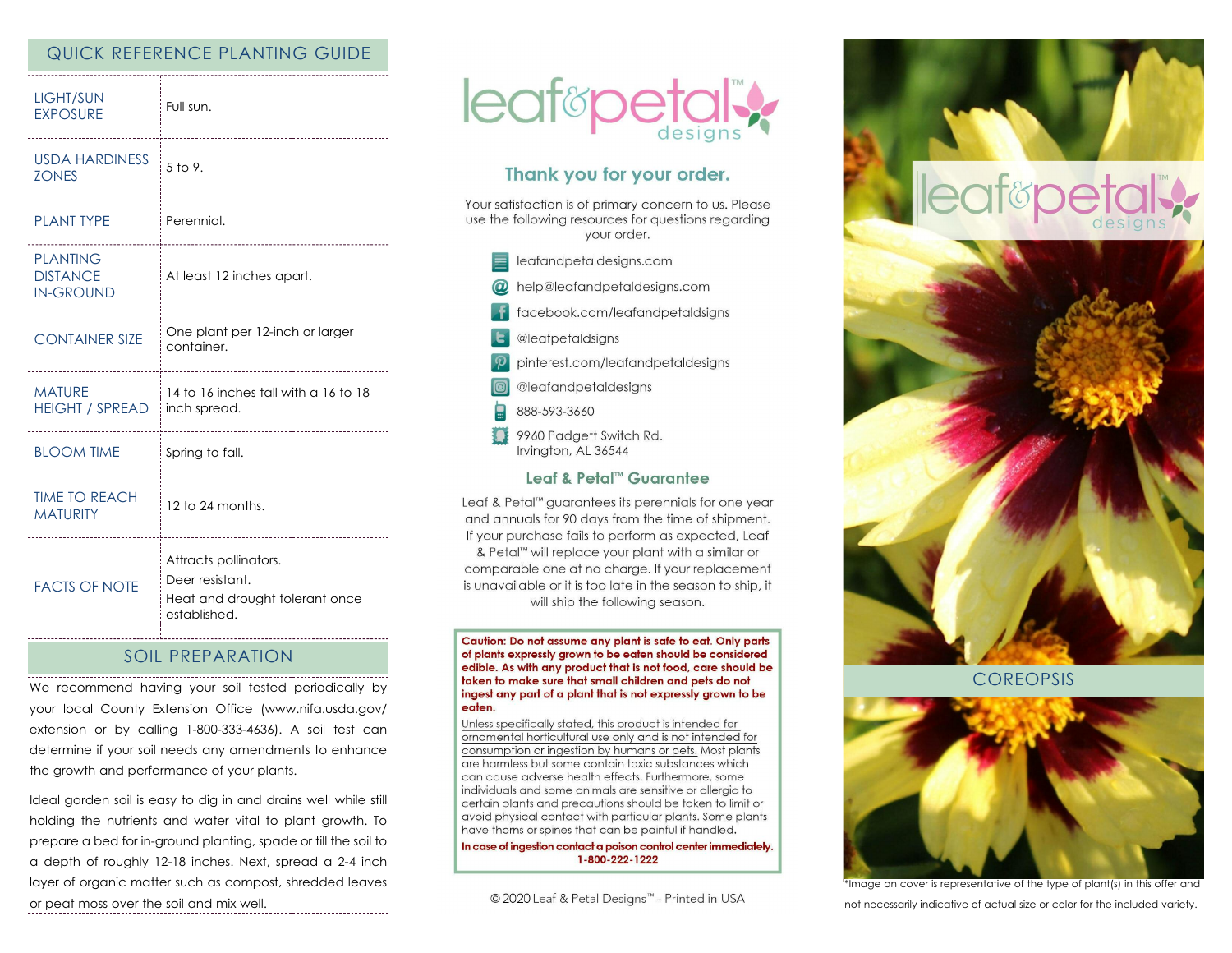## QUICK REFERENCE PLANTING GUIDE

| <b>LIGHT/SUN</b><br><b>EXPOSURE</b>                    | Full sun.<br>-------------------------------                                               |
|--------------------------------------------------------|--------------------------------------------------------------------------------------------|
| <b>USDA HARDINESS</b><br><b>ZONES</b>                  | $5$ to 9.<br>-------------------------                                                     |
| <b>PLANT TYPE</b>                                      | Perennial.                                                                                 |
| <b>PLANTING</b><br><b>DISTANCE</b><br><b>IN-GROUND</b> | -----------------------<br>At least 12 inches apart.<br>---------------------------        |
| <b>CONTAINER SIZE</b><br>-----------------             | One plant per 12-inch or larger<br>container.                                              |
| <b>MATURE</b><br><b>HEIGHT / SPREAD</b>                | 14 to 16 inches tall with a 16 to 18<br>inch spread.<br>                                   |
| <b>BLOOM TIME</b>                                      | Spring to fall.<br>------------------------------                                          |
| <b>TIME TO REACH</b><br><b>MATURITY</b>                | 12 to 24 months.                                                                           |
| <b>FACTS OF NOTE</b>                                   | Attracts pollinators.<br>Deer resistant.<br>Heat and drought tolerant once<br>established. |

## SOIL PREPARATION

We recommend having your soil tested periodically by your local County Extension Office (www.nifa.usda.gov/ extension or by calling 1-800-333-4636). A soil test can determine if your soil needs any amendments to enhance the growth and performance of your plants.

Ideal garden soil is easy to dig in and drains well while still holding the nutrients and water vital to plant growth. To prepare a bed for in-ground planting, spade or till the soil to a depth of roughly 12-18 inches. Next, spread a 2-4 inch layer of organic matter such as compost, shredded leaves or peat moss over the soil and mix well.



# Thank you for your order.

Your satisfaction is of primary concern to us. Please use the following resources for questions regarding vour order.

- eafandpetaldesigns.com
- @ help@leafandpetaldesigns.com
- facebook.com/leafandpetaldsigns
- **L** @leafpetaldsigns
- pinterest.com/leafandpetaldesigns
- @leafandpetaldesigns
- 888-593-3660
- 9960 Padgett Switch Rd. Irvington, AL 36544

### Leaf & Petal™ Guarantee

Leaf & Petal™ guarantees its perennials for one year and annuals for 90 days from the time of shipment. If your purchase fails to perform as expected, Leaf & Petal<sup>™</sup> will replace your plant with a similar or comparable one at no charge. If your replacement is unavailable or it is too late in the season to ship, it will ship the following season.

Caution: Do not assume any plant is safe to eat. Only parts of plants expressly grown to be eaten should be considered edible. As with any product that is not food, care should be taken to make sure that small children and pets do not ingest any part of a plant that is not expressly grown to be eaten.

Unless specifically stated, this product is intended for ornamental horticultural use only and is not intended for consumption or ingestion by humans or pets. Most plants are harmless but some contain toxic substances which can cause adverse health effects. Furthermore, some individuals and some animals are sensitive or allergic to certain plants and precautions should be taken to limit or avoid physical contact with particular plants. Some plants have thorns or spines that can be painful if handled.

In case of ingestion contact a poison control center immediately. 1-800-222-1222

© 2020 Leaf & Petal Designs™ - Printed in USA



**COREOPSIS** 



\*Image on cover is representative of the type of plant(s) in this offer and not necessarily indicative of actual size or color for the included variety.